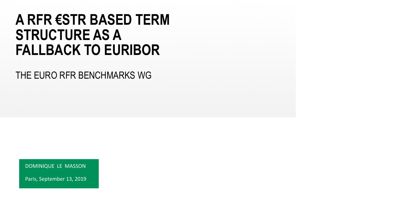## **A RFR €STR BASED TERM STRUCTURE AS A FALLBACK TO EURIBOR**

THE EURO RFR BENCHMARKS WG

DOMINIQUE LE MASSON

Paris, September 13, 2019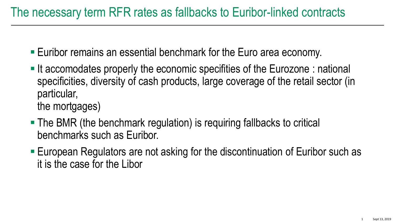- Euribor remains an essential benchmark for the Euro area economy.
- If accomodates properly the economic specifities of the Eurozone : national specificities, diversity of cash products, large coverage of the retail sector (in particular, the mortgages)
- The BMR (the benchmark regulation) is requiring fallbacks to critical benchmarks such as Euribor.
- European Regulators are not asking for the discontinuation of Euribor such as it is the case for the Libor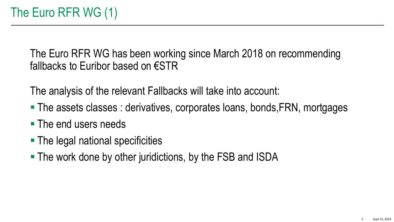The Euro RFR WG has been working since March 2018 on recommending fallbacks to Euribor based on €STR

The analysis of the relevant Fallbacks will take into account:

- The assets classes : derivatives, corporates loans, bonds, FRN, mortgages
- **The end users needs**
- The legal national specificities
- **The work done by other juridictions, by the FSB and ISDA**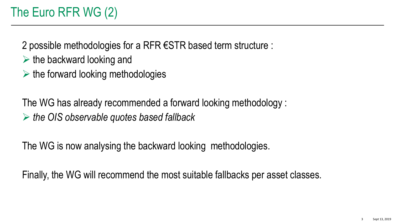2 possible methodologies for a RFR €STR based term structure :

- $\triangleright$  the backward looking and
- $\triangleright$  the forward looking methodologies

The WG has already recommended a forward looking methodology : *the OIS observable quotes based fallback*

The WG is now analysing the backward looking methodologies.

Finally, the WG will recommend the most suitable fallbacks per asset classes.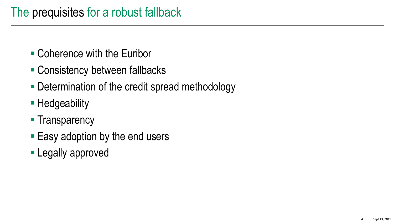- Coherence with the Euribor
- Consistency between fallbacks
- Determination of the credit spread methodology
- **Hedgeability**
- **Transparency**
- Easy adoption by the end users
- **Legally approved**